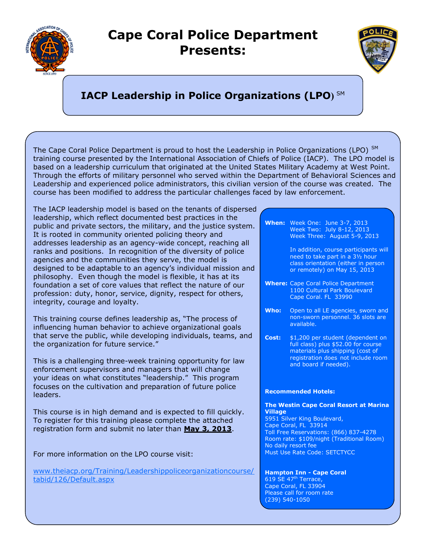

## **Cape Coral Police Department Presents:**



## **IACP Leadership in Police Organizations (LPO)** SM

The Cape Coral Police Department is proud to host the Leadership in Police Organizations (LPO) SM training course presented by the International Association of Chiefs of Police (IACP). The LPO model is based on a leadership curriculum that originated at the United States Military Academy at West Point. Through the efforts of military personnel who served within the Department of Behavioral Sciences and Leadership and experienced police administrators, this civilian version of the course was created. The course has been modified to address the particular challenges faced by law enforcement.

The IACP leadership model is based on the tenants of dispersed leadership, which reflect documented best practices in the public and private sectors, the military, and the justice system. It is rooted in community oriented policing theory and addresses leadership as an agency-wide concept, reaching all ranks and positions. In recognition of the diversity of police agencies and the communities they serve, the model is designed to be adaptable to an agency's individual mission and philosophy. Even though the model is flexible, it has at its foundation a set of core values that reflect the nature of our profession: duty, honor, service, dignity, respect for others, integrity, courage and loyalty.

This training course defines leadership as, "The process of influencing human behavior to achieve organizational goals that serve the public, while developing individuals, teams, and the organization for future service."

This is a challenging three-week training opportunity for law enforcement supervisors and managers that will change your ideas on what constitutes "leadership." This program focuses on the cultivation and preparation of future police leaders.

This course is in high demand and is expected to fill quickly. To register for this training please complete the attached registration form and submit no later than **May 3, 2013**.

For more information on the LPO course visit:

[www.theiacp.org/Training/Leadershippoliceorganizationcourse/](http://www.theiacp.org/Training/Leadershippoliceorganizationcourse/tabid/126/Default.aspx) [tabid/126/Default.aspx](http://www.theiacp.org/Training/Leadershippoliceorganizationcourse/tabid/126/Default.aspx)

## **When:** Week One: June 3-7, 2013 Week Two: July 8-12, 2013 Week Three: August 5-9, 2013

In addition, course participants will need to take part in a 3½ hour class orientation (either in person or remotely) on May 15, 2013

- **Where:** Cape Coral Police Department 1100 Cultural Park Boulevard Cape Coral. FL 33990
- **Who:** Open to all LE agencies, sworn and non-sworn personnel. 36 slots are available.
- **Cost:** \$1,200 per student (dependent on full class) plus \$52.00 for course materials plus shipping (cost of registration does not include room and board if needed).

## **Recommended Hotels:**

**The Westin Cape Coral Resort at Marina Village** 5951 Silver King Boulevard, Cape Coral, FL 33914 Toll Free Reservations: (866) 837-4278 Room rate: \$109/night (Traditional Room) No daily resort fee Must Use Rate Code: SETCTYCC

**Hampton Inn - Cape Coral**  $619$  SE 47<sup>th</sup> Terrace, Cape Coral, FL 33904 Please call for room rate (239) 540-1050